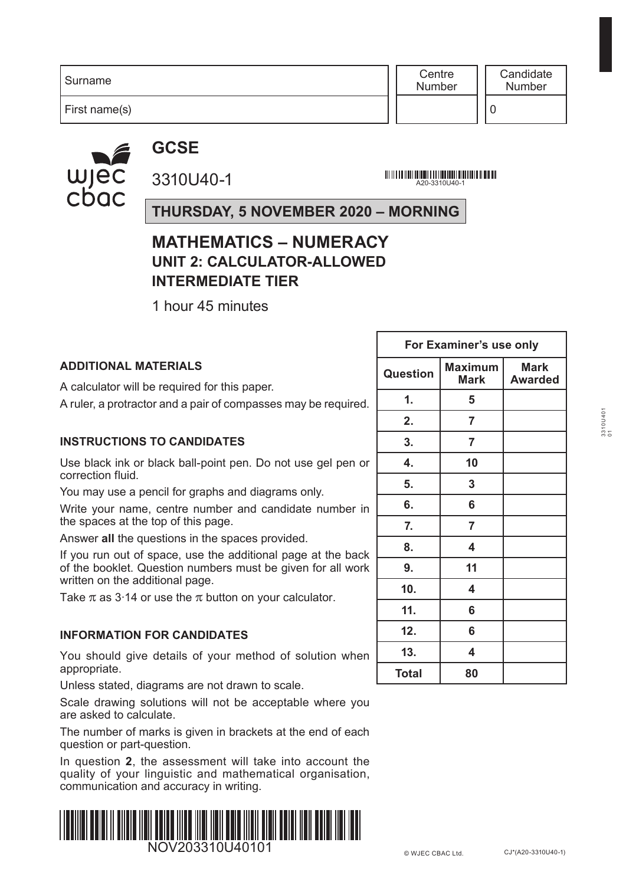**Centre** Number

First name(s)

**GCSE**

wjec<br>cbac

3310U40-1

A20-3310U40-1

**THURSDAY, 5 NOVEMBER 2020 – MORNING**

## **MATHEMATICS – NUMERACY UNIT 2: CALCULATOR-ALLOWED INTERMEDIATE TIER**

1 hour 45 minutes

|                                                                                                                             | <b>FUI EXAILIBLE S USE UILLY</b> |                               |                               |  |  |
|-----------------------------------------------------------------------------------------------------------------------------|----------------------------------|-------------------------------|-------------------------------|--|--|
| <b>ADDITIONAL MATERIALS</b><br>A calculator will be required for this paper.                                                | <b>Question</b>                  | <b>Maximum</b><br><b>Mark</b> | <b>Mark</b><br><b>Awarded</b> |  |  |
| A ruler, a protractor and a pair of compasses may be required.                                                              | $\mathbf{1}$ .                   | 5                             |                               |  |  |
|                                                                                                                             | 2.                               | 7                             |                               |  |  |
| <b>INSTRUCTIONS TO CANDIDATES</b>                                                                                           | 3.                               | 7                             |                               |  |  |
| Use black ink or black ball-point pen. Do not use gel pen or<br>correction fluid.                                           | $\mathbf{4}$ .                   | 10                            |                               |  |  |
| You may use a pencil for graphs and diagrams only.                                                                          | 5.                               | 3                             |                               |  |  |
| Write your name, centre number and candidate number in                                                                      | 6.                               | 6                             |                               |  |  |
| the spaces at the top of this page.                                                                                         | 7.                               | 7                             |                               |  |  |
| Answer all the questions in the spaces provided.                                                                            | 8.                               | 4                             |                               |  |  |
| If you run out of space, use the additional page at the back<br>of the booklet. Question numbers must be given for all work | 9.                               | 11                            |                               |  |  |
| written on the additional page.                                                                                             | 10 <sub>1</sub>                  | 4                             |                               |  |  |
| Take $\pi$ as 3.14 or use the $\pi$ button on your calculator.                                                              | 11.                              | 6                             |                               |  |  |
| <b>INFORMATION FOR CANDIDATES</b>                                                                                           | 12.                              | 6                             |                               |  |  |
| You should give details of your method of solution when                                                                     | 13.                              | 4                             |                               |  |  |
| appropriate.                                                                                                                | <b>Total</b>                     | 80                            |                               |  |  |
|                                                                                                                             |                                  |                               |                               |  |  |

Unless stated, diagrams are not drawn to scale. Scale drawing solutions will not be acceptable where you

are asked to calculate.

The number of marks is given in brackets at the end of each question or part-question.

In question **2**, the assessment will take into account the quality of your linguistic and mathematical organisation, communication and accuracy in writing.



| For Examiner's use only |                               |                               |  |  |  |  |  |
|-------------------------|-------------------------------|-------------------------------|--|--|--|--|--|
| Question                | <b>Maximum</b><br><b>Mark</b> | <b>Mark</b><br><b>Awarded</b> |  |  |  |  |  |
| 1.                      | 5                             |                               |  |  |  |  |  |
| 2.                      | 7                             |                               |  |  |  |  |  |
| 3.                      | $\overline{7}$                |                               |  |  |  |  |  |
| 4.                      | 10                            |                               |  |  |  |  |  |
| 5.                      | 3                             |                               |  |  |  |  |  |
| 6.                      | 6                             |                               |  |  |  |  |  |
| 7.                      | 7                             |                               |  |  |  |  |  |
| 8.                      | 4                             |                               |  |  |  |  |  |
| 9.                      | 11                            |                               |  |  |  |  |  |
| 10.                     | 4                             |                               |  |  |  |  |  |
| 11.                     | 6                             |                               |  |  |  |  |  |
| 12.                     | 6                             |                               |  |  |  |  |  |
| 13.                     | 4                             |                               |  |  |  |  |  |
| <b>Total</b>            | 80                            |                               |  |  |  |  |  |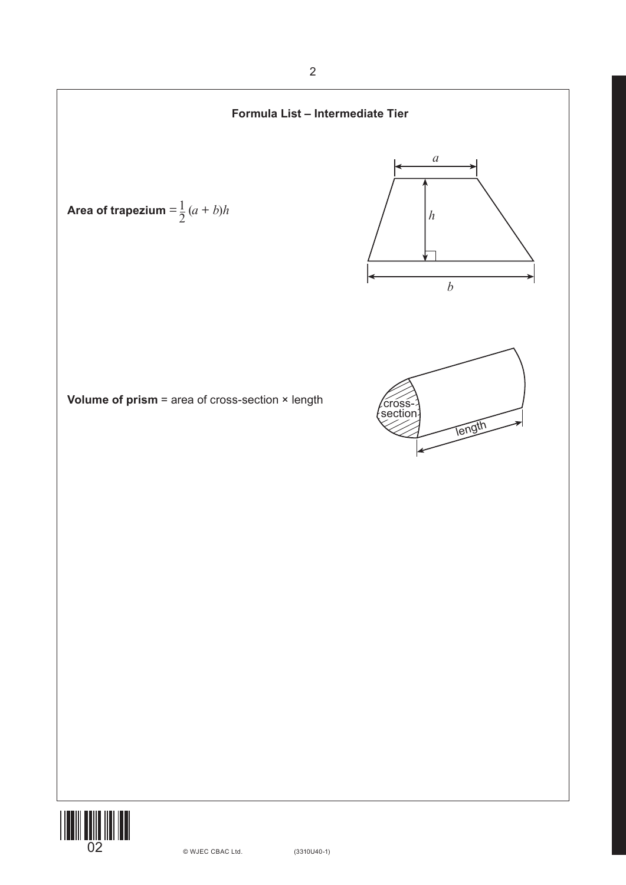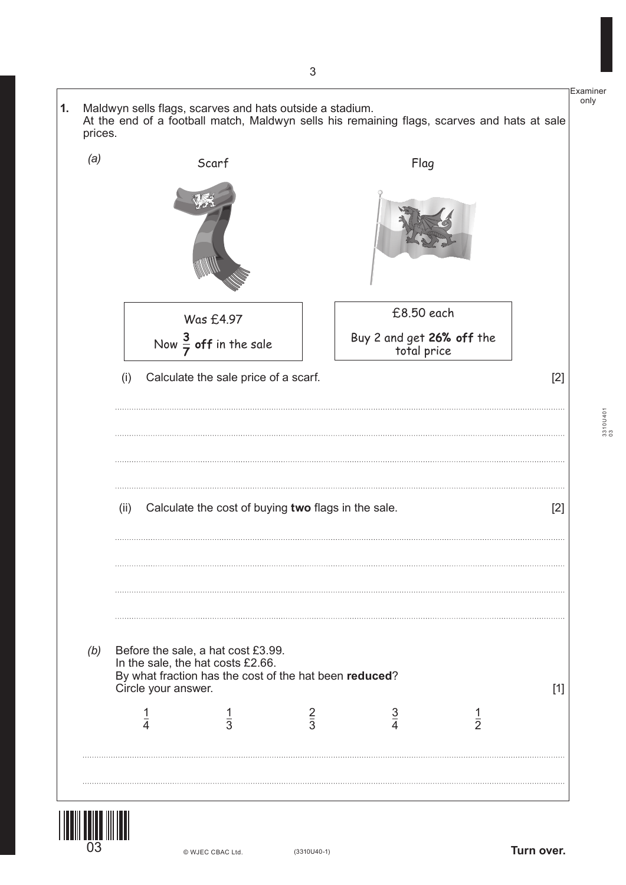![](_page_2_Figure_0.jpeg)

![](_page_2_Picture_1.jpeg)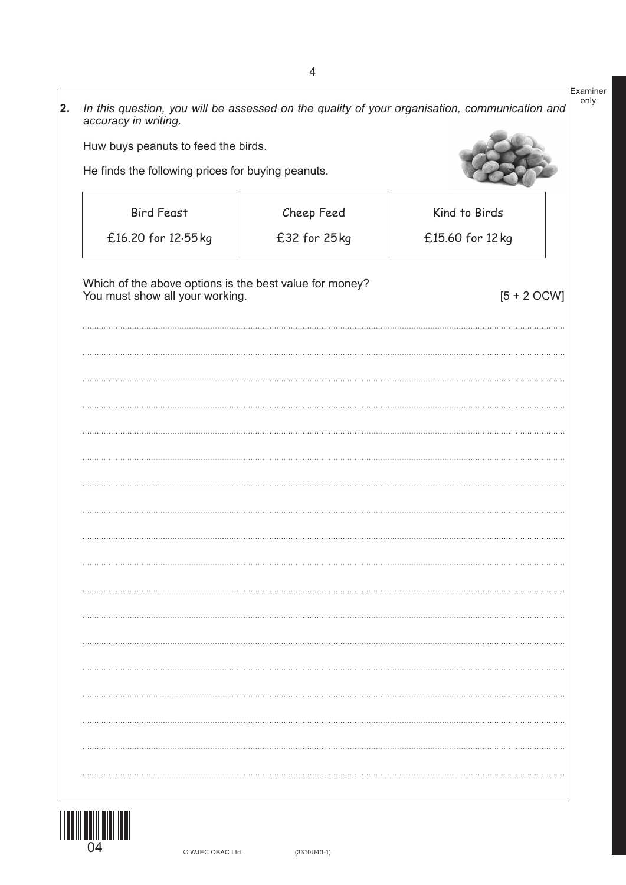| <b>Bird Feast</b><br>Kind to Birds<br>Cheep Feed<br>£32 for 25kg<br>£16.20 for 12.55 kg<br>£15.60 for 12 kg<br>Which of the above options is the best value for money?<br>You must show all your working.<br>$[5 + 2 OCW]$ | Huw buys peanuts to feed the birds.<br>He finds the following prices for buying peanuts. |  |  |  |  |  |  |  |
|----------------------------------------------------------------------------------------------------------------------------------------------------------------------------------------------------------------------------|------------------------------------------------------------------------------------------|--|--|--|--|--|--|--|
|                                                                                                                                                                                                                            |                                                                                          |  |  |  |  |  |  |  |
|                                                                                                                                                                                                                            |                                                                                          |  |  |  |  |  |  |  |
|                                                                                                                                                                                                                            |                                                                                          |  |  |  |  |  |  |  |
|                                                                                                                                                                                                                            |                                                                                          |  |  |  |  |  |  |  |
|                                                                                                                                                                                                                            |                                                                                          |  |  |  |  |  |  |  |
|                                                                                                                                                                                                                            |                                                                                          |  |  |  |  |  |  |  |
|                                                                                                                                                                                                                            |                                                                                          |  |  |  |  |  |  |  |
|                                                                                                                                                                                                                            |                                                                                          |  |  |  |  |  |  |  |
|                                                                                                                                                                                                                            |                                                                                          |  |  |  |  |  |  |  |
|                                                                                                                                                                                                                            |                                                                                          |  |  |  |  |  |  |  |
|                                                                                                                                                                                                                            |                                                                                          |  |  |  |  |  |  |  |
|                                                                                                                                                                                                                            |                                                                                          |  |  |  |  |  |  |  |
|                                                                                                                                                                                                                            |                                                                                          |  |  |  |  |  |  |  |
|                                                                                                                                                                                                                            |                                                                                          |  |  |  |  |  |  |  |
|                                                                                                                                                                                                                            |                                                                                          |  |  |  |  |  |  |  |

![](_page_3_Picture_1.jpeg)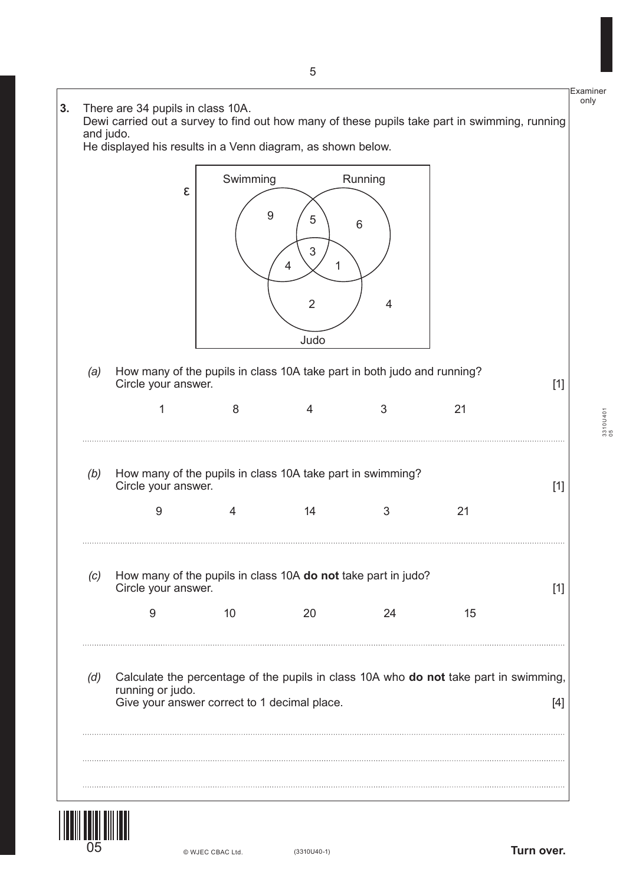![](_page_4_Figure_0.jpeg)

![](_page_4_Picture_1.jpeg)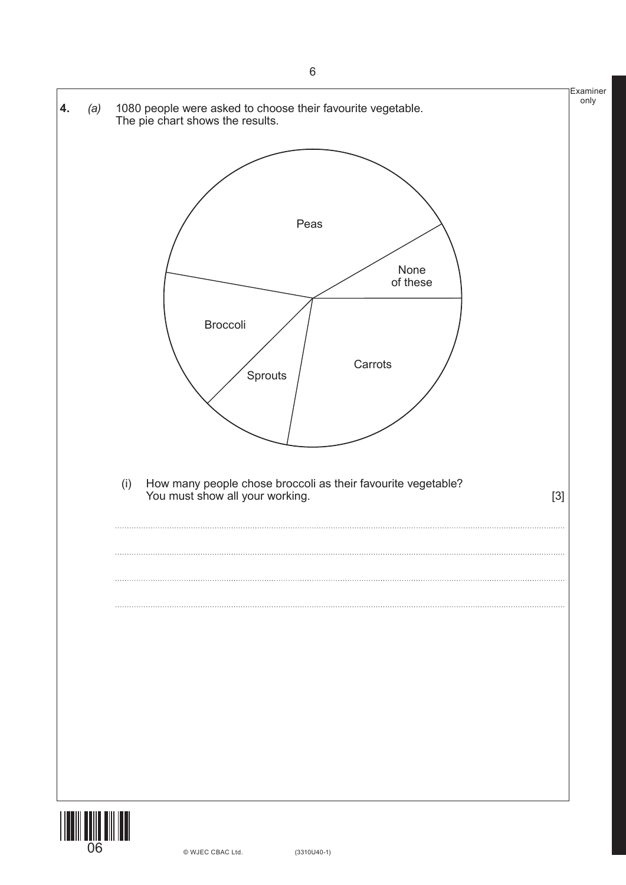![](_page_5_Figure_0.jpeg)

![](_page_5_Picture_1.jpeg)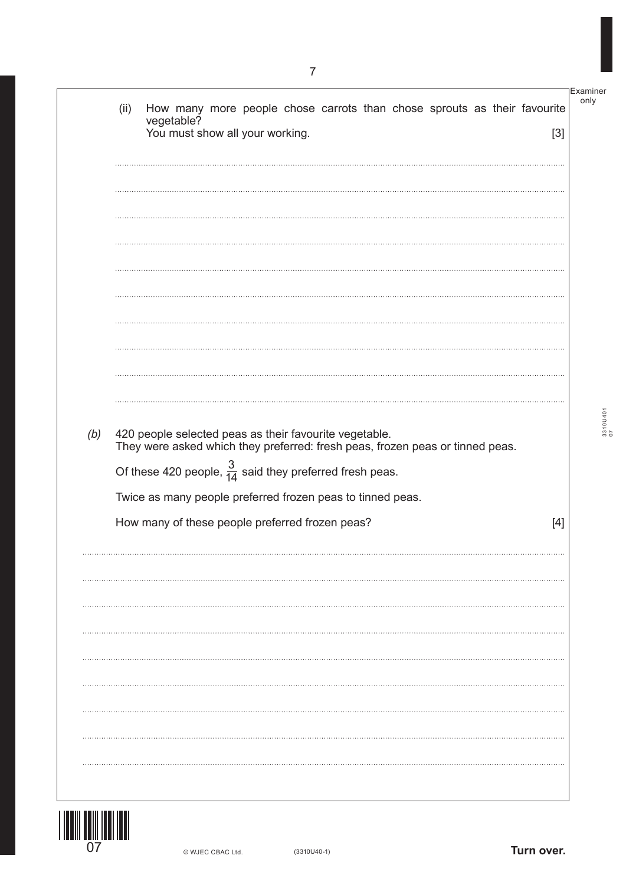Examiner only (ii) How many more people chose carrots than chose sprouts as their favourite vegetable? You must show all your working. *(b)* 420 people selected peas as their favourite vegetable. They were asked which they preferred: fresh peas, frozen peas or tinned peas. Of these 420 people,  $\frac{3}{14}$  said they preferred fresh peas. 14 Twice as many people preferred frozen peas to tinned peas. How many of these people preferred frozen peas? [4]

![](_page_6_Picture_1.jpeg)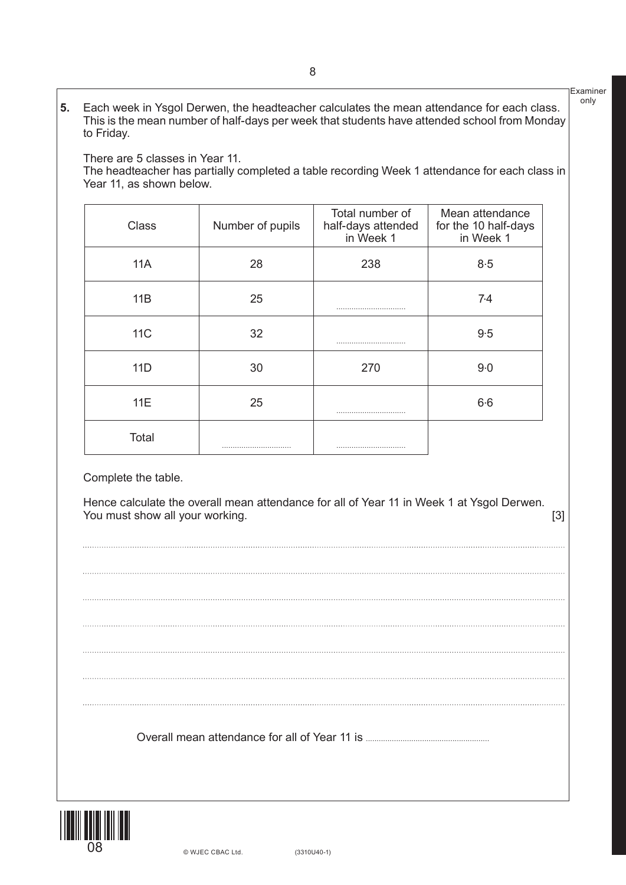**5.** Each week in Ysgol Derwen, the headteacher calculates the mean attendance for each class. This is the mean number of half-days per week that students have attended school from Monday to Friday.

There are 5 classes in Year 11.

The headteacher has partially completed a table recording Week 1 attendance for each class in Year 11, as shown below.

| <b>Class</b> | Number of pupils | Total number of<br>half-days attended<br>in Week 1 | Mean attendance<br>for the 10 half-days<br>in Week 1 |
|--------------|------------------|----------------------------------------------------|------------------------------------------------------|
| 11A          | 28               | 238                                                | 8.5                                                  |
| 11B          | 25               |                                                    | 7.4                                                  |
| <b>11C</b>   | 32               |                                                    | 9.5                                                  |
| 11D          | 30               | 270                                                | $9-0$                                                |
| 11E          | 25               |                                                    | $6-6$                                                |
| Total        |                  |                                                    |                                                      |

Complete the table.

Hence calculate the overall mean attendance for all of Year 11 in Week 1 at Ysgol Derwen. You must show all your working. [3]

Examiner only

Overall mean attendance for all of Year 11 is **.........................................................**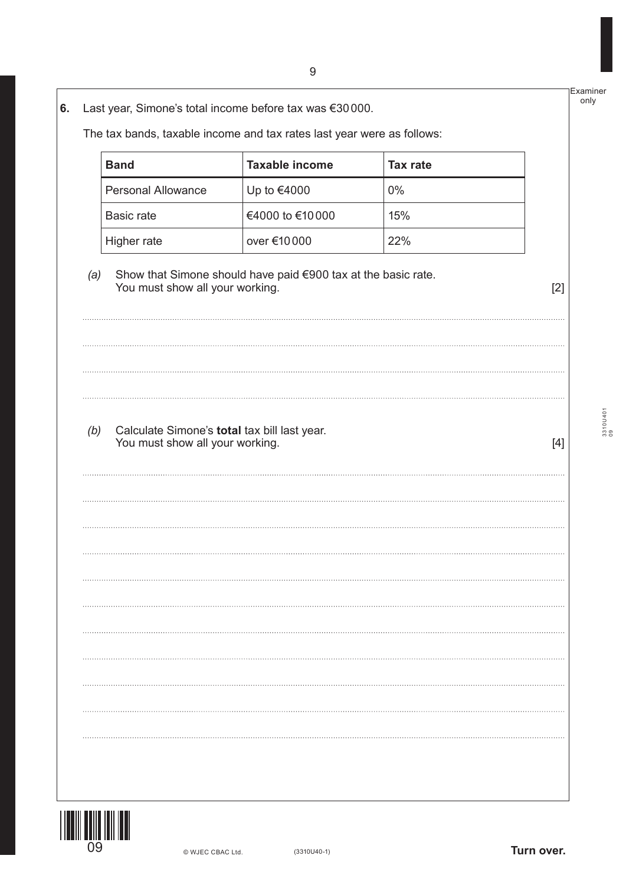**6.** Last year, Simone's total income before tax was €30000.

The tax bands, taxable income and tax rates last year were as follows:

| <b>Band</b>        | <b>Taxable income</b> | Tax rate |
|--------------------|-----------------------|----------|
| Personal Allowance | Up to €4000           | $0\%$    |
| Basic rate         | €4000 to €10000       | 15%      |
| Higher rate        | over €10000           | 22%      |

## *(a)* Show that Simone should have paid €900 tax at the basic rate. You must show all your working. [2]

*(b)* Calculate Simone's **total** tax bill last year. You must show all your working. The same state of the state of the state of  $[4]$ 

3310U401 3310U401<br>09

Examiner only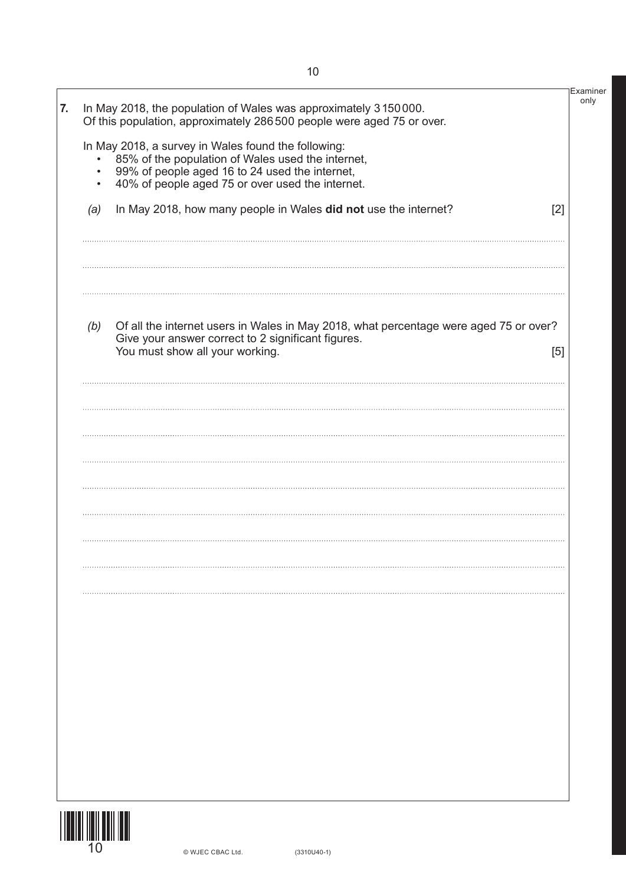|                                     | In May 2018, the population of Wales was approximately 3150000.<br>Of this population, approximately 286 500 people were aged 75 or over.                                                                      |  |
|-------------------------------------|----------------------------------------------------------------------------------------------------------------------------------------------------------------------------------------------------------------|--|
| $\bullet$<br>$\bullet$<br>$\bullet$ | In May 2018, a survey in Wales found the following:<br>85% of the population of Wales used the internet,<br>99% of people aged 16 to 24 used the internet,<br>40% of people aged 75 or over used the internet. |  |
| (a)                                 | In May 2018, how many people in Wales did not use the internet?<br>[2]                                                                                                                                         |  |
|                                     |                                                                                                                                                                                                                |  |
| (b)                                 | Of all the internet users in Wales in May 2018, what percentage were aged 75 or over?<br>Give your answer correct to 2 significant figures.<br>You must show all your working.<br>[5]                          |  |
|                                     |                                                                                                                                                                                                                |  |
|                                     |                                                                                                                                                                                                                |  |
|                                     |                                                                                                                                                                                                                |  |
|                                     |                                                                                                                                                                                                                |  |
|                                     |                                                                                                                                                                                                                |  |
|                                     |                                                                                                                                                                                                                |  |
|                                     |                                                                                                                                                                                                                |  |
|                                     |                                                                                                                                                                                                                |  |
|                                     |                                                                                                                                                                                                                |  |
|                                     |                                                                                                                                                                                                                |  |
|                                     |                                                                                                                                                                                                                |  |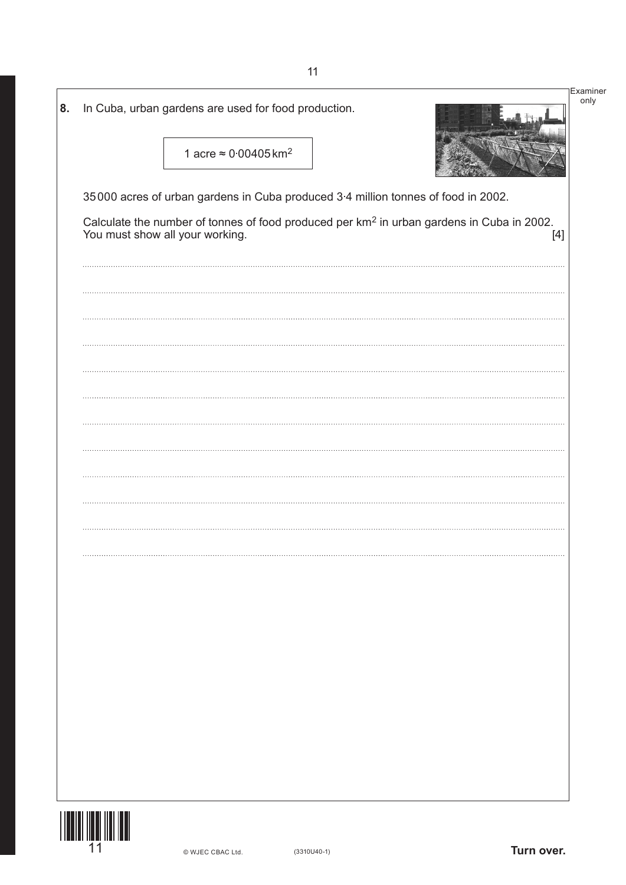| 8. | In Cuba, urban gardens are used for food production.                                                                                              | Examiner<br>only |
|----|---------------------------------------------------------------------------------------------------------------------------------------------------|------------------|
|    | 1 acre $\approx 0.00405$ km <sup>2</sup>                                                                                                          |                  |
|    | 35000 acres of urban gardens in Cuba produced 3-4 million tonnes of food in 2002.                                                                 |                  |
|    | Calculate the number of tonnes of food produced per km <sup>2</sup> in urban gardens in Cuba in 2002.<br>You must show all your working.<br>$[4]$ |                  |
|    |                                                                                                                                                   |                  |
|    |                                                                                                                                                   |                  |
|    |                                                                                                                                                   |                  |
|    |                                                                                                                                                   |                  |
|    |                                                                                                                                                   |                  |
|    |                                                                                                                                                   |                  |
|    |                                                                                                                                                   |                  |
|    |                                                                                                                                                   |                  |
|    |                                                                                                                                                   |                  |
|    |                                                                                                                                                   |                  |
|    |                                                                                                                                                   |                  |
|    |                                                                                                                                                   |                  |
|    |                                                                                                                                                   |                  |
|    |                                                                                                                                                   |                  |
|    |                                                                                                                                                   |                  |
|    |                                                                                                                                                   |                  |
|    |                                                                                                                                                   |                  |
|    |                                                                                                                                                   |                  |
|    | 11<br>Turn over.<br>$(3310U40-1)$<br>© WJEC CBAC Ltd.                                                                                             |                  |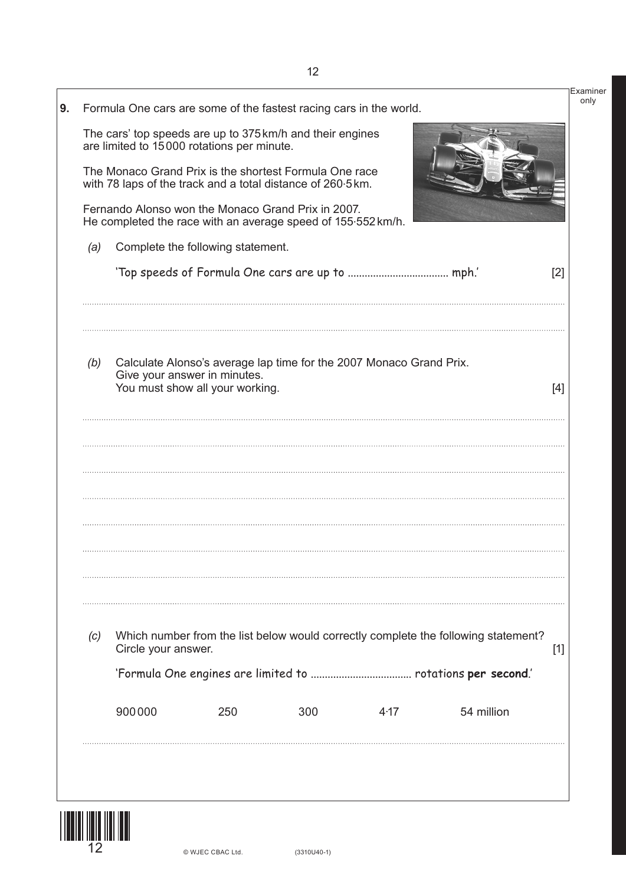|     |                     | Formula One cars are some of the fastest racing cars in the world.                                                    |     |      |                                                                                    |       |
|-----|---------------------|-----------------------------------------------------------------------------------------------------------------------|-----|------|------------------------------------------------------------------------------------|-------|
|     |                     | The cars' top speeds are up to 375 km/h and their engines<br>are limited to 15000 rotations per minute.               |     |      |                                                                                    |       |
|     |                     | The Monaco Grand Prix is the shortest Formula One race<br>with 78 laps of the track and a total distance of 260.5 km. |     |      |                                                                                    |       |
|     |                     | Fernando Alonso won the Monaco Grand Prix in 2007.<br>He completed the race with an average speed of 155.552 km/h.    |     |      |                                                                                    |       |
| (a) |                     | Complete the following statement.                                                                                     |     |      |                                                                                    |       |
|     |                     |                                                                                                                       |     |      |                                                                                    | [2]   |
| (b) |                     | Calculate Alonso's average lap time for the 2007 Monaco Grand Prix.<br>Give your answer in minutes.                   |     |      |                                                                                    |       |
|     |                     | You must show all your working.                                                                                       |     |      |                                                                                    | $[4]$ |
|     |                     |                                                                                                                       |     |      |                                                                                    |       |
|     |                     |                                                                                                                       |     |      |                                                                                    |       |
|     |                     |                                                                                                                       |     |      |                                                                                    |       |
|     |                     |                                                                                                                       |     |      |                                                                                    |       |
| (c) | Circle your answer. |                                                                                                                       |     |      | Which number from the list below would correctly complete the following statement? | $[1]$ |
|     |                     |                                                                                                                       |     |      |                                                                                    |       |
|     | 900000              | 250                                                                                                                   | 300 | 4.17 | 54 million                                                                         |       |

![](_page_11_Picture_1.jpeg)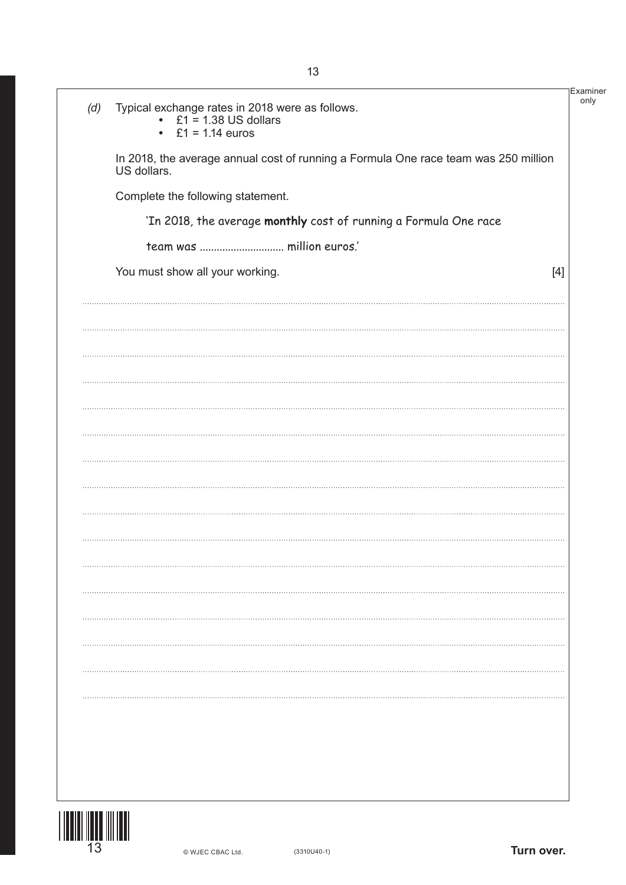| (d) | Typical exchange rates in 2018 were as follows.<br>• $£1 = 1.38$ US dollars<br>• $£1 = 1.14$ euros | Examiner |
|-----|----------------------------------------------------------------------------------------------------|----------|
|     | In 2018, the average annual cost of running a Formula One race team was 250 million<br>US dollars. |          |
|     | Complete the following statement.                                                                  |          |
|     | 'In 2018, the average monthly cost of running a Formula One race                                   |          |
|     | team was  million euros.'                                                                          |          |
|     | You must show all your working.<br>[4]                                                             |          |
|     |                                                                                                    |          |
|     |                                                                                                    |          |
|     |                                                                                                    |          |
|     |                                                                                                    |          |
|     |                                                                                                    |          |
|     |                                                                                                    |          |
|     |                                                                                                    |          |
|     |                                                                                                    |          |
|     |                                                                                                    |          |
|     |                                                                                                    |          |
|     |                                                                                                    |          |
|     |                                                                                                    |          |
|     |                                                                                                    |          |
|     |                                                                                                    |          |
|     |                                                                                                    |          |
|     |                                                                                                    |          |
|     |                                                                                                    |          |
|     |                                                                                                    |          |
|     |                                                                                                    |          |

![](_page_12_Picture_1.jpeg)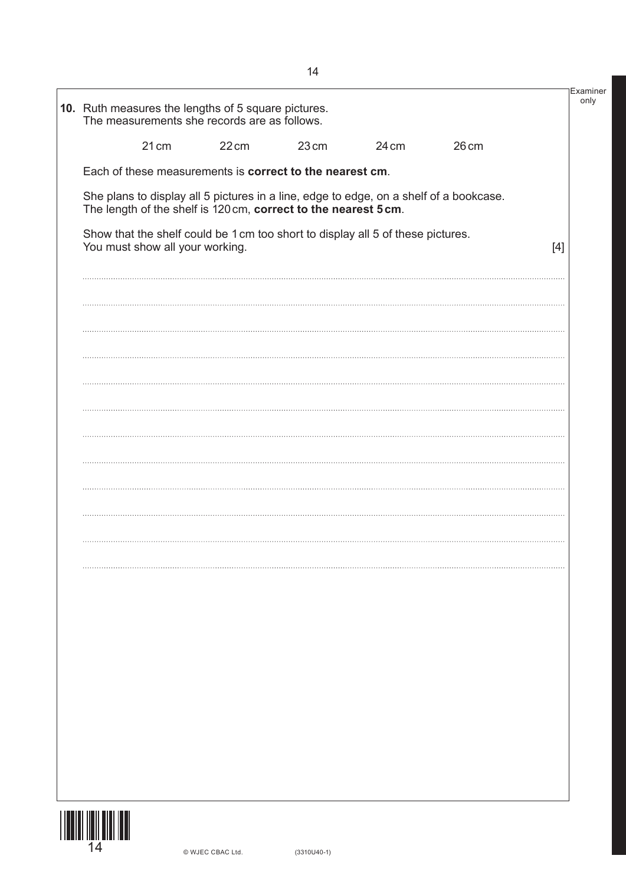| The measurements she records are as follows. |                                                                                 |       |       |                                                                                        |       |
|----------------------------------------------|---------------------------------------------------------------------------------|-------|-------|----------------------------------------------------------------------------------------|-------|
| 21 cm                                        | $22 \text{cm}$                                                                  | 23 cm | 24 cm | 26 <sub>cm</sub>                                                                       |       |
|                                              | Each of these measurements is correct to the nearest cm.                        |       |       |                                                                                        |       |
|                                              | The length of the shelf is 120 cm, correct to the nearest 5 cm.                 |       |       | She plans to display all 5 pictures in a line, edge to edge, on a shelf of a bookcase. |       |
| You must show all your working.              | Show that the shelf could be 1 cm too short to display all 5 of these pictures. |       |       |                                                                                        | $[4]$ |
|                                              |                                                                                 |       |       |                                                                                        |       |
|                                              |                                                                                 |       |       |                                                                                        |       |
|                                              |                                                                                 |       |       |                                                                                        |       |
|                                              |                                                                                 |       |       |                                                                                        |       |
|                                              |                                                                                 |       |       |                                                                                        |       |
|                                              |                                                                                 |       |       |                                                                                        |       |
|                                              |                                                                                 |       |       |                                                                                        |       |
|                                              |                                                                                 |       |       |                                                                                        |       |
|                                              |                                                                                 |       |       |                                                                                        |       |
|                                              |                                                                                 |       |       |                                                                                        |       |
|                                              |                                                                                 |       |       |                                                                                        |       |
|                                              |                                                                                 |       |       |                                                                                        |       |
|                                              |                                                                                 |       |       |                                                                                        |       |
|                                              |                                                                                 |       |       |                                                                                        |       |
|                                              |                                                                                 |       |       |                                                                                        |       |
|                                              |                                                                                 |       |       |                                                                                        |       |
|                                              |                                                                                 |       |       |                                                                                        |       |
|                                              |                                                                                 |       |       |                                                                                        |       |
|                                              |                                                                                 |       |       |                                                                                        |       |
|                                              |                                                                                 |       |       |                                                                                        |       |
|                                              |                                                                                 |       |       |                                                                                        |       |
|                                              |                                                                                 |       |       |                                                                                        |       |
|                                              |                                                                                 |       |       |                                                                                        |       |

![](_page_13_Picture_1.jpeg)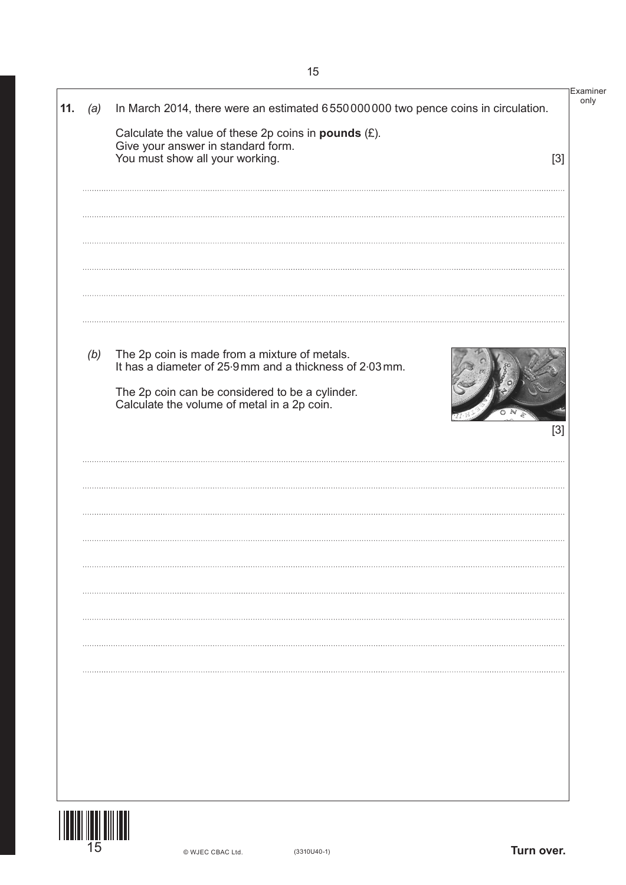Examiner only **11.** *(a)* In March 2014, there were an estimated 6550000000 two pence coins in circulation. Calculate the value of these 2p coins in **pounds** (£). Give your answer in standard form. You must show all your working. [3] *(b)* The 2p coin is made from a mixture of metals.  $\frac{1}{2}$  It has a diameter of 25.9 mm and a thickness of 2.03 mm. The 2p coin can be considered to be a cylinder. Calculate the volume of metal in a 2p coin. [3]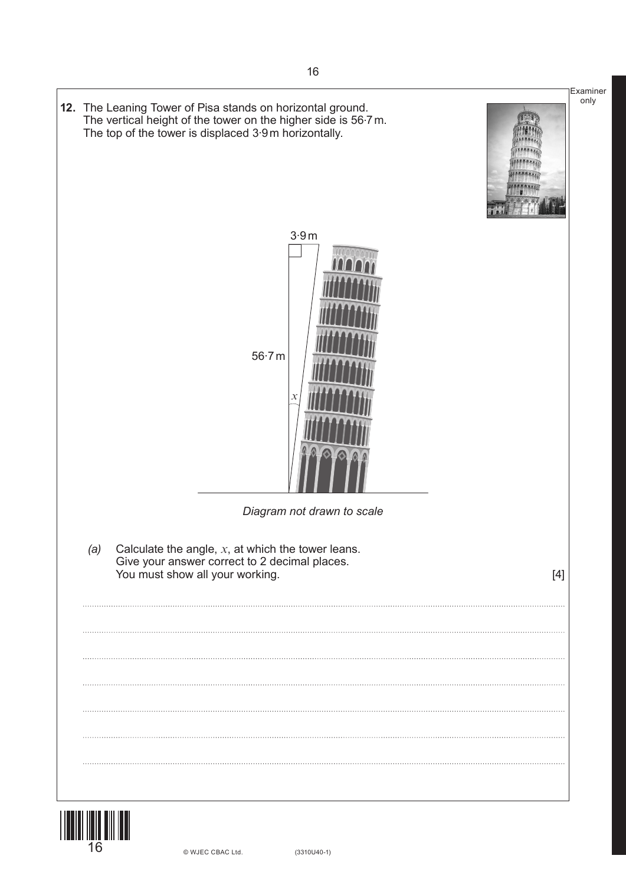![](_page_15_Picture_0.jpeg)

![](_page_15_Picture_1.jpeg)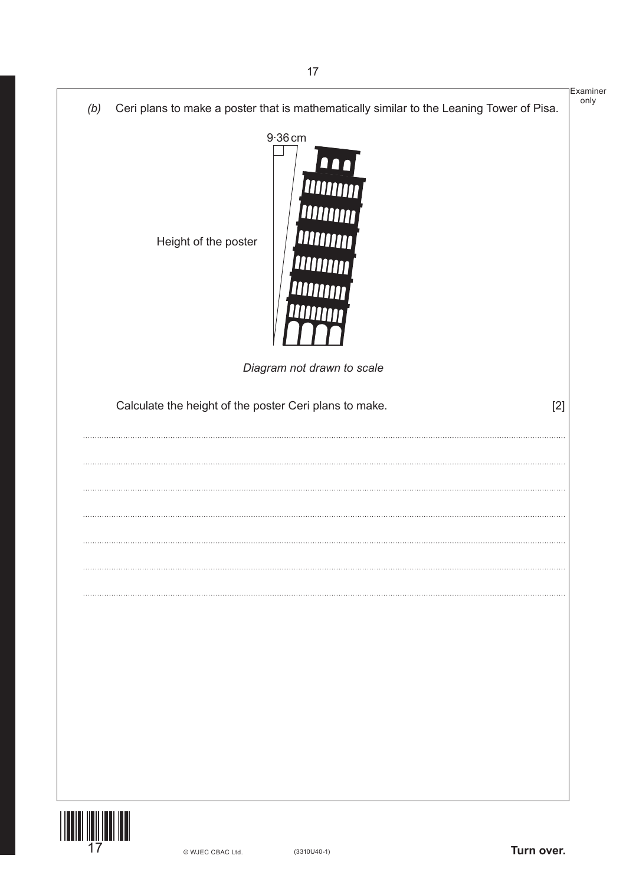|                         |     |                                                                                          | Examiner<br>only |
|-------------------------|-----|------------------------------------------------------------------------------------------|------------------|
|                         | (b) | Ceri plans to make a poster that is mathematically similar to the Leaning Tower of Pisa. |                  |
|                         |     | $9.36$ cm<br>00<br><b>William</b><br>Height of the poster                                |                  |
|                         |     | Diagram not drawn to scale                                                               |                  |
|                         |     | Calculate the height of the poster Ceri plans to make.<br>$[2]$                          |                  |
|                         |     |                                                                                          |                  |
|                         |     |                                                                                          |                  |
|                         |     |                                                                                          |                  |
|                         |     |                                                                                          |                  |
|                         |     |                                                                                          |                  |
|                         |     |                                                                                          |                  |
|                         |     |                                                                                          |                  |
|                         |     |                                                                                          |                  |
|                         |     |                                                                                          |                  |
|                         |     |                                                                                          |                  |
|                         |     |                                                                                          |                  |
|                         |     |                                                                                          |                  |
|                         |     |                                                                                          |                  |
|                         |     |                                                                                          |                  |
| <b>TIONINI IN IN IN</b> |     |                                                                                          |                  |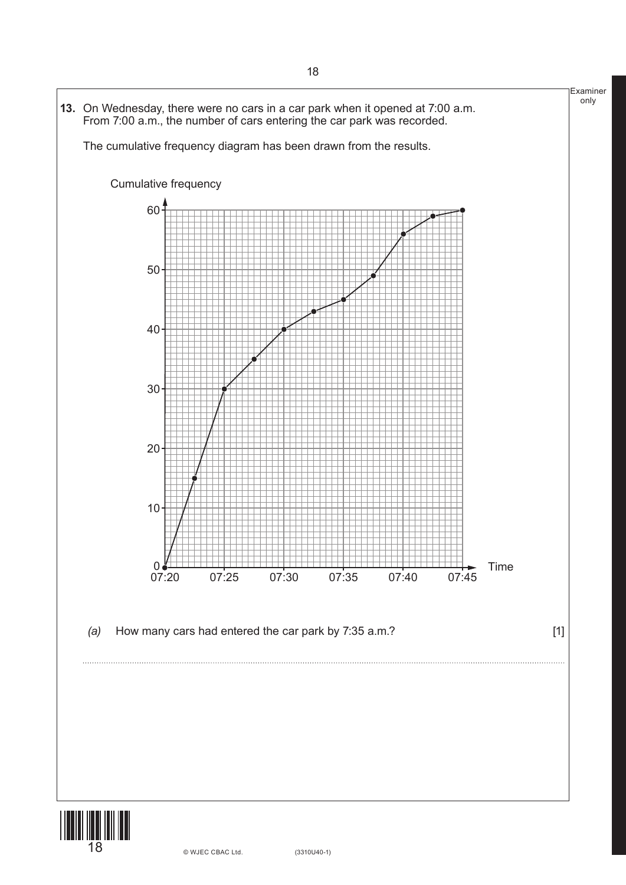![](_page_17_Figure_0.jpeg)

18 (3310U40-1) © WJEC CBAC Ltd.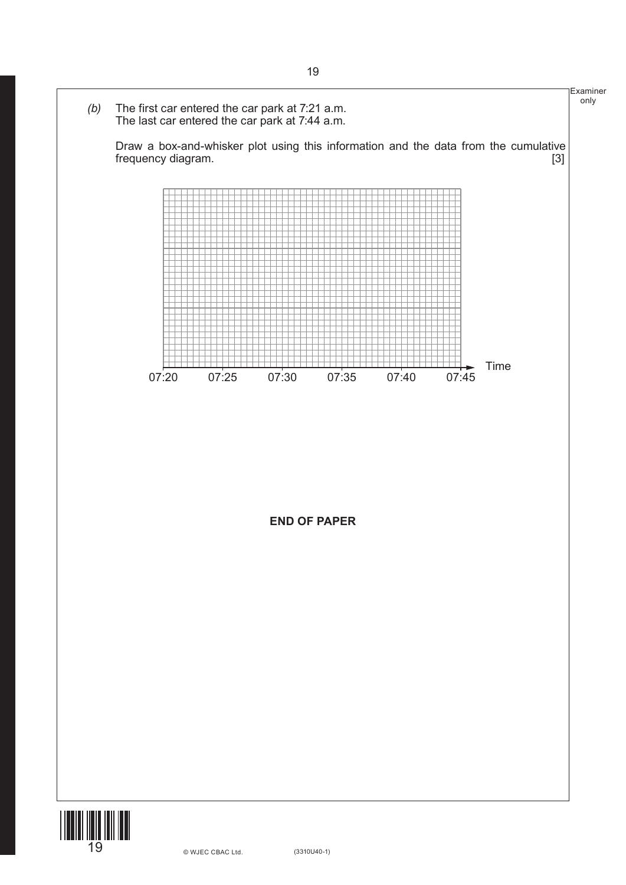![](_page_18_Figure_0.jpeg)